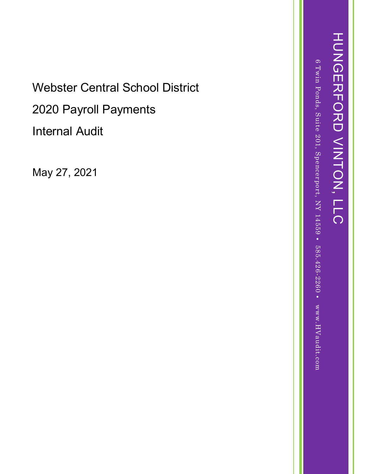Webster Central School District 2020 Payroll Payments Internal Audit

May 27, 202 1

6 Twin Ponds, Suite 201, Spencerport, NY 14559 ٠ 585.426-2260 ٠ www.HVaudit.com HUNGERFORD VINTON, LLC

HONGERFORD VINTON, LLC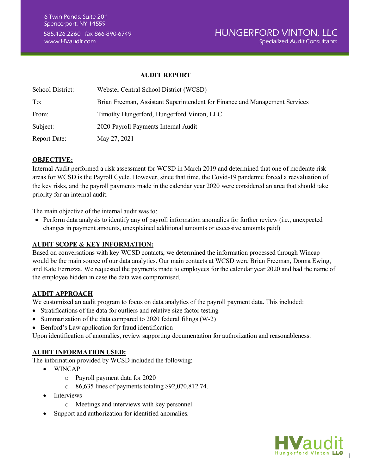#### **AUDIT REPORT**

| School District:    | Webster Central School District (WCSD)                                      |
|---------------------|-----------------------------------------------------------------------------|
| To:                 | Brian Freeman, Assistant Superintendent for Finance and Management Services |
| From:               | Timothy Hungerford, Hungerford Vinton, LLC                                  |
| Subject:            | 2020 Payroll Payments Internal Audit                                        |
| <b>Report Date:</b> | May 27, 2021                                                                |

# **OBJECTIVE:**

Internal Audit performed a risk assessment for WCSD in March 2019 and determined that one of moderate risk areas for WCSD is the Payroll Cycle. However, since that time, the Covid-19 pandemic forced a reevaluation of the key risks, and the payroll payments made in the calendar year 2020 were considered an area that should take priority for an internal audit.

The main objective of the internal audit was to:

• Perform data analysis to identify any of payroll information anomalies for further review (i.e., unexpected changes in payment amounts, unexplained additional amounts or excessive amounts paid)

## **AUDIT SCOPE & KEY INFORMATION:**

Based on conversations with key WCSD contacts, we determined the information processed through Wincap would be the main source of our data analytics. Our main contacts at WCSD were Brian Freeman, Donna Ewing, and Kate Ferruzza. We requested the payments made to employees for the calendar year 2020 and had the name of the employee hidden in case the data was compromised.

## **AUDIT APPROACH**

We customized an audit program to focus on data analytics of the payroll payment data. This included:

- Stratifications of the data for outliers and relative size factor testing
- Summarization of the data compared to 2020 federal filings (W-2)
- Benford's Law application for fraud identification

Upon identification of anomalies, review supporting documentation for authorization and reasonableness.

## **AUDIT INFORMATION USED:**

The information provided by WCSD included the following:

- WINCAP
	- o Payroll payment data for 2020
	- $\circ$  86,635 lines of payments totaling \$92,070,812.74.
- **Interviews** 
	- o Meetings and interviews with key personnel.
- Support and authorization for identified anomalies.

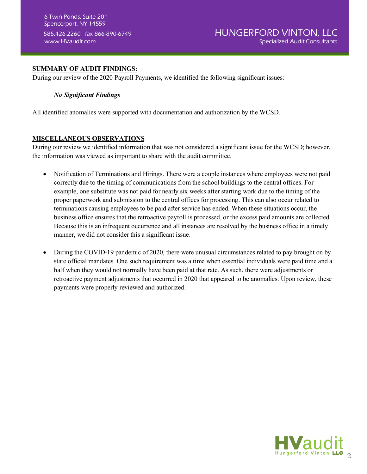# **SUMMARY OF AUDIT FINDINGS:**

During our review of the 2020 Payroll Payments, we identified the following significant issues:

## *No Significant Findings*

All identified anomalies were supported with documentation and authorization by the WCSD.

# **MISCELLANEOUS OBSERVATIONS**

During our review we identified information that was not considered a significant issue for the WCSD; however, the information was viewed as important to share with the audit committee.

- Notification of Terminations and Hirings. There were a couple instances where employees were not paid correctly due to the timing of communications from the school buildings to the central offices. For example, one substitute was not paid for nearly six weeks after starting work due to the timing of the proper paperwork and submission to the central offices for processing. This can also occur related to terminations causing employees to be paid after service has ended. When these situations occur, the business office ensures that the retroactive payroll is processed, or the excess paid amounts are collected. Because this is an infrequent occurrence and all instances are resolved by the business office in a timely manner, we did not consider this a significant issue.
- During the COVID-19 pandemic of 2020, there were unusual circumstances related to pay brought on by state official mandates. One such requirement was a time when essential individuals were paid time and a half when they would not normally have been paid at that rate. As such, there were adjustments or retroactive payment adjustments that occurred in 2020 that appeared to be anomalies. Upon review, these payments were properly reviewed and authorized.

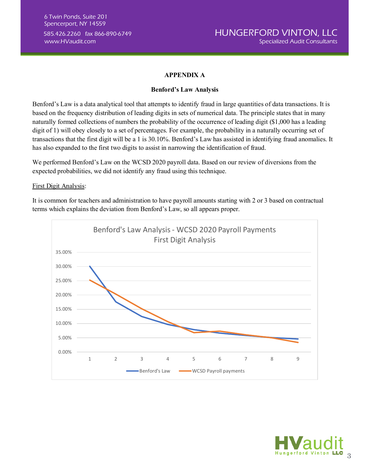# **APPENDIX A**

### **Benford's Law Analysis**

Benford's Law is a data analytical tool that attempts to identify fraud in large quantities of data transactions. It is based on the frequency distribution of leading digits in sets of numerical data. The principle states that in many naturally formed collections of numbers the probability of the occurrence of leading digit (\$1,000 has a leading digit of 1) will obey closely to a set of percentages. For example, the probability in a naturally occurring set of transactions that the first digit will be a 1 is 30.10%. Benford's Law has assisted in identifying fraud anomalies. It has also expanded to the first two digits to assist in narrowing the identification of fraud.

We performed Benford's Law on the WCSD 2020 payroll data. Based on our review of diversions from the expected probabilities, we did not identify any fraud using this technique.

#### First Digit Analysis:

It is common for teachers and administration to have payroll amounts starting with 2 or 3 based on contractual terms which explains the deviation from Benford's Law, so all appears proper.



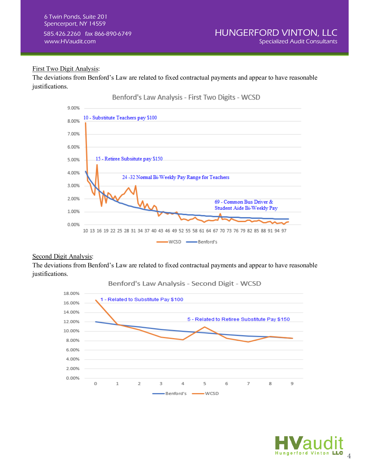# First Two Digit Analysis:

The deviations from Benford's Law are related to fixed contractual payments and appear to have reasonable justifications.



## Second Digit Analysis:

The deviations from Benford's Law are related to fixed contractual payments and appear to have reasonable justifications.



Benford's Law Analysis - Second Digit - WCSD